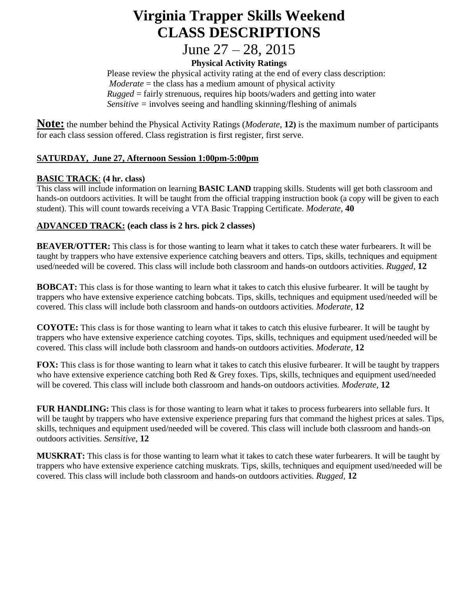# **Virginia Trapper Skills Weekend CLASS DESCRIPTIONS**

# June 27 – 28, 2015

## **Physical Activity Ratings**

Please review the physical activity rating at the end of every class description: *Moderate* = the class has a medium amount of physical activity *Rugged* = fairly strenuous, requires hip boots/waders and getting into water *Sensitive =* involves seeing and handling skinning/fleshing of animals

**Note:** the number behind the Physical Activity Ratings (*Moderate,* **12)** is the maximum number of participants for each class session offered. Class registration is first register, first serve.

#### **SATURDAY, June 27, Afternoon Session 1:00pm-5:00pm**

#### **BASIC TRACK**: **(4 hr. class)**

This class will include information on learning **BASIC LAND** trapping skills. Students will get both classroom and hands-on outdoors activities. It will be taught from the official trapping instruction book (a copy will be given to each student). This will count towards receiving a VTA Basic Trapping Certificate. *Moderate,* **40**

#### **ADVANCED TRACK: (each class is 2 hrs. pick 2 classes)**

**BEAVER/OTTER:** This class is for those wanting to learn what it takes to catch these water furbearers. It will be taught by trappers who have extensive experience catching beavers and otters. Tips, skills, techniques and equipment used/needed will be covered. This class will include both classroom and hands-on outdoors activities. *Rugged,* **12**

**BOBCAT:** This class is for those wanting to learn what it takes to catch this elusive furbearer. It will be taught by trappers who have extensive experience catching bobcats. Tips, skills, techniques and equipment used/needed will be covered. This class will include both classroom and hands-on outdoors activities. *Moderate,* **12**

**COYOTE:** This class is for those wanting to learn what it takes to catch this elusive furbearer. It will be taught by trappers who have extensive experience catching coyotes. Tips, skills, techniques and equipment used/needed will be covered. This class will include both classroom and hands-on outdoors activities. *Moderate,* **12**

**FOX:** This class is for those wanting to learn what it takes to catch this elusive furbearer. It will be taught by trappers who have extensive experience catching both Red & Grey foxes. Tips, skills, techniques and equipment used/needed will be covered. This class will include both classroom and hands-on outdoors activities. *Moderate,* **12**

**FUR HANDLING:** This class is for those wanting to learn what it takes to process furbearers into sellable furs. It will be taught by trappers who have extensive experience preparing furs that command the highest prices at sales. Tips, skills, techniques and equipment used/needed will be covered. This class will include both classroom and hands-on outdoors activities. *Sensitive,* **12**

**MUSKRAT:** This class is for those wanting to learn what it takes to catch these water furbearers. It will be taught by trappers who have extensive experience catching muskrats. Tips, skills, techniques and equipment used/needed will be covered. This class will include both classroom and hands-on outdoors activities. *Rugged,* **12**